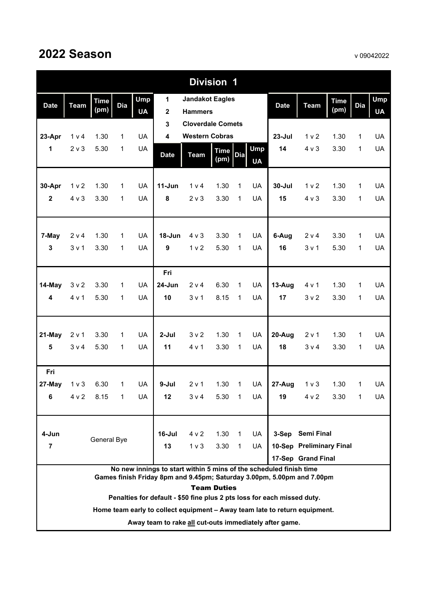| <b>Division 1</b>                                                                                                                                     |                                                                                                  |                     |                          |                         |                         |                                          |                     |              |                         |             |                  |                     |                |                         |
|-------------------------------------------------------------------------------------------------------------------------------------------------------|--------------------------------------------------------------------------------------------------|---------------------|--------------------------|-------------------------|-------------------------|------------------------------------------|---------------------|--------------|-------------------------|-------------|------------------|---------------------|----------------|-------------------------|
| <b>Date</b>                                                                                                                                           | <b>Team</b>                                                                                      | <b>Time</b><br>(pm) | Dia                      | <b>Ump</b><br><b>UA</b> | 1<br>$\mathbf{2}$       | <b>Jandakot Eagles</b><br><b>Hammers</b> |                     |              |                         | <b>Date</b> | <b>Team</b>      | <b>Time</b><br>(pm) | <b>Dia</b>     | <b>Ump</b><br><b>UA</b> |
|                                                                                                                                                       |                                                                                                  |                     |                          |                         | 3                       | <b>Cloverdale Comets</b>                 |                     |              |                         |             |                  |                     |                |                         |
| 23-Apr                                                                                                                                                | 1 v 4                                                                                            | 1.30                | 1                        | <b>UA</b>               | $\overline{\mathbf{4}}$ | <b>Western Cobras</b>                    |                     |              |                         | $23 -$ Jul  | 1 <sub>v</sub>   | 1.30                | 1              | <b>UA</b>               |
| $\mathbf{1}$                                                                                                                                          | $2 \vee 3$                                                                                       | 5.30                | 1                        | <b>UA</b>               | <b>Date</b>             | <b>Team</b>                              | <b>Time</b><br>(pm) | <b>Dia</b>   | <b>Ump</b><br><b>UA</b> | 14          | $4 \vee 3$       | 3.30                | $\mathbf{1}$   | <b>UA</b>               |
| 30-Apr                                                                                                                                                | 1 <sub>v</sub>                                                                                   | 1.30                | 1                        | <b>UA</b>               | $11-Jun$                | 1 v 4                                    | 1.30                | $\mathbf{1}$ | <b>UA</b>               | $30 -$ Jul  | 1 <sub>v</sub>   | 1.30                | $\mathbf{1}$   | <b>UA</b>               |
| $\overline{\mathbf{2}}$                                                                                                                               | $4 \vee 3$                                                                                       | 3.30                | 1                        | <b>UA</b>               | 8                       | 2 <sub>v</sub>                           | 3.30                | 1            | UA                      | 15          | 4 v 3            | 3.30                | 1              | <b>UA</b>               |
|                                                                                                                                                       |                                                                                                  |                     |                          |                         |                         |                                          |                     |              |                         |             |                  |                     |                |                         |
| 7-May                                                                                                                                                 | 2 v 4                                                                                            | 1.30                | 1                        | <b>UA</b>               | 18-Jun                  | $4 \vee 3$                               | 3.30                | $\mathbf 1$  | <b>UA</b>               | 6-Aug       | 2 v 4            | 3.30                | $\mathbf{1}$   | <b>UA</b>               |
| $\mathbf{3}$                                                                                                                                          | 3 <sub>v</sub> 1                                                                                 | 3.30                | 1                        | UA                      | 9                       | 1 <sub>v</sub> 2                         | 5.30                | $\mathbf{1}$ | <b>UA</b>               | 16          | 3 v 1            | 5.30                | 1              | <b>UA</b>               |
|                                                                                                                                                       |                                                                                                  |                     |                          |                         |                         |                                          |                     |              |                         |             |                  |                     |                |                         |
|                                                                                                                                                       |                                                                                                  |                     |                          |                         | Fri                     |                                          |                     |              |                         |             |                  |                     |                |                         |
| 14-May                                                                                                                                                | 3 <sub>v</sub>                                                                                   | 3.30                | 1                        | <b>UA</b>               | 24-Jun                  | 2 v 4                                    | 6.30                | $\mathbf{1}$ | <b>UA</b>               | 13-Aug      | 4 v 1            | 1.30                | $\mathbf{1}$   | UA                      |
| 4                                                                                                                                                     | 4 v 1                                                                                            | 5.30                | 1                        | <b>UA</b>               | 10                      | 3 v 1                                    | 8.15                | $\mathbf{1}$ | UA                      | 17          | 3 <sub>v</sub>   | 3.30                | $\mathbf{1}$   | <b>UA</b>               |
|                                                                                                                                                       |                                                                                                  |                     |                          | <b>UA</b>               |                         |                                          |                     |              |                         |             |                  |                     |                |                         |
| 21-May                                                                                                                                                | 2 v 1                                                                                            | 3.30                | 1                        |                         | $2-Jul$                 | 3 <sub>v</sub> 2                         | 1.30                | 1            | UA                      | 20-Aug      | 2 v 1            | 1.30                | $\mathbf{1}$   | <b>UA</b>               |
| $\overline{\mathbf{5}}$                                                                                                                               | 3 v 4                                                                                            | 5.30                | 1                        | UA                      | 11                      | 4 v 1                                    | 3.30                | 1            | UA                      | 18          | 3 v 4            | 3.30                | 1              | <b>UA</b>               |
| Fri                                                                                                                                                   |                                                                                                  |                     |                          |                         |                         |                                          |                     |              |                         |             |                  |                     |                |                         |
| 27-May                                                                                                                                                | 1 <sub>v</sub>                                                                                   | 6.30                | 1                        | <b>UA</b>               | $9-Jul$                 | 2 v 1                                    | 1.30                | $\mathbf{1}$ | UA                      | 27-Aug      | 1 <sub>v</sub>   | 1.30                | 1              | UA                      |
|                                                                                                                                                       | 6 $4v2$                                                                                          | 8.15                | $\overline{\phantom{1}}$ | <b>UA</b>               | 12                      | 3 v 4                                    | 5.30 1 UA           |              |                         |             | $19$ $4 \vee 2$  | 3.30                | $\overline{1}$ | UA                      |
|                                                                                                                                                       |                                                                                                  |                     |                          |                         |                         |                                          |                     |              |                         |             |                  |                     |                |                         |
| 4-Jun                                                                                                                                                 |                                                                                                  | General Bye         |                          |                         | $16$ -Jul               | 4 v 2                                    | 1.30                | $\mathbf{1}$ | UA                      |             | 3-Sep Semi Final |                     |                |                         |
|                                                                                                                                                       | 13<br>10-Sep Preliminary Final<br>$\overline{7}$<br>1 <sub>v</sub><br>3.30<br>$\mathbf{1}$<br>UA |                     |                          |                         |                         |                                          |                     |              |                         |             |                  |                     |                |                         |
|                                                                                                                                                       | 17-Sep Grand Final<br>No new innings to start within 5 mins of the scheduled finish time         |                     |                          |                         |                         |                                          |                     |              |                         |             |                  |                     |                |                         |
| Games finish Friday 8pm and 9.45pm; Saturday 3.00pm, 5.00pm and 7.00pm                                                                                |                                                                                                  |                     |                          |                         |                         |                                          |                     |              |                         |             |                  |                     |                |                         |
| <b>Team Duties</b>                                                                                                                                    |                                                                                                  |                     |                          |                         |                         |                                          |                     |              |                         |             |                  |                     |                |                         |
| Penalties for default - \$50 fine plus 2 pts loss for each missed duty.<br>Home team early to collect equipment - Away team late to return equipment. |                                                                                                  |                     |                          |                         |                         |                                          |                     |              |                         |             |                  |                     |                |                         |
|                                                                                                                                                       |                                                                                                  |                     |                          |                         |                         |                                          |                     |              |                         |             |                  |                     |                |                         |

**Away team to rake all cut-outs immediately after game.**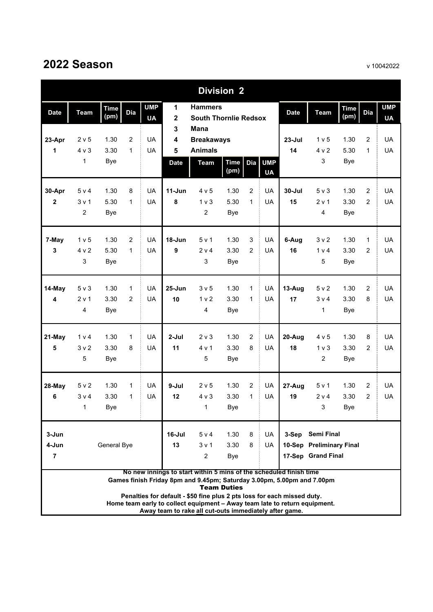| <b>Division 2</b>                                                                                                                                                                                               |                                |                     |                |                         |                              |                                                |                     |                |                      |             |                          |                     |                |                         |
|-----------------------------------------------------------------------------------------------------------------------------------------------------------------------------------------------------------------|--------------------------------|---------------------|----------------|-------------------------|------------------------------|------------------------------------------------|---------------------|----------------|----------------------|-------------|--------------------------|---------------------|----------------|-------------------------|
| <b>Date</b>                                                                                                                                                                                                     | <b>Team</b>                    | <b>Time</b><br>(pm) | Dia            | <b>UMP</b><br><b>UA</b> | 1<br>$\overline{\mathbf{2}}$ | <b>Hammers</b><br><b>South Thornlie Redsox</b> |                     |                |                      | <b>Date</b> | <b>Team</b>              | <b>Time</b><br>(pm) | <b>Dia</b>     | <b>UMP</b><br><b>UA</b> |
|                                                                                                                                                                                                                 |                                |                     |                |                         | 3                            | <b>Mana</b>                                    |                     |                |                      |             |                          |                     |                |                         |
| 23-Apr                                                                                                                                                                                                          | 2 v 5                          | 1.30                | $\overline{2}$ | UA                      | 4                            | <b>Breakaways</b>                              |                     |                |                      | $23 -$ Jul  | 1 v 5                    | 1.30                | 2              | <b>UA</b>               |
| 1                                                                                                                                                                                                               | $4 \vee 3$                     | 3.30                | $\mathbf{1}$   | <b>UA</b>               | 5                            | <b>Animals</b>                                 |                     |                |                      | 14          | 4 v 2                    | 5.30                | 1              | UA                      |
|                                                                                                                                                                                                                 | 1                              | <b>Bye</b>          |                |                         | <b>Date</b>                  | <b>Team</b>                                    | <b>Time</b><br>(pm) |                | Dia UMP<br><b>UA</b> |             | 3                        | Bye                 |                |                         |
| 30-Apr                                                                                                                                                                                                          | 5 v 4                          | 1.30                | 8              | UA                      | $11-Jun$                     | 4 v 5                                          | 1.30                | $\overline{c}$ | UA                   | $30 -$ Jul  | $5v$ 3                   | 1.30                | $\overline{c}$ | <b>UA</b>               |
| $\mathbf{2}$                                                                                                                                                                                                    | 3 <sub>v</sub> 1               | 5.30                | $\mathbf{1}$   | UA                      | 8                            | 1 <sub>v</sub>                                 | 5.30                | $\mathbf{1}$   | <b>UA</b>            | 15          | 2 v 1                    | 3.30                | 2              | <b>UA</b>               |
|                                                                                                                                                                                                                 | 2                              | <b>Bye</b>          |                |                         |                              | 2                                              | <b>Bye</b>          |                |                      |             | 4                        | Bye                 |                |                         |
| 7-May                                                                                                                                                                                                           | 1 v 5                          | 1.30                | 2              | <b>UA</b>               | $18 - Jun$                   | 5 v 1                                          | 1.30                | 3              | <b>UA</b>            | 6-Aug       | 3 <sub>v</sub> 2         | 1.30                | $\mathbf{1}$   | <b>UA</b>               |
| 3                                                                                                                                                                                                               | 4 v 2                          | 5.30                | $\mathbf{1}$   | UA                      | 9                            | 2 v 4                                          | 3.30                | 2              | <b>UA</b>            | 16          | 1 v 4                    | 3.30                | $\overline{c}$ | UA                      |
|                                                                                                                                                                                                                 | 3                              | <b>Bye</b>          |                |                         |                              | 3                                              | <b>Bye</b>          |                |                      |             | 5                        | Bye                 |                |                         |
| 14-May                                                                                                                                                                                                          | $5v$ 3                         | 1.30                | $\mathbf{1}$   | UA                      | $25 - Jun$                   | 3 <sub>v</sub> 5                               | 1.30                | $\mathbf{1}$   | UA                   | 13-Aug      | 5 v 2                    | 1.30                | $\overline{2}$ | <b>UA</b>               |
| 4                                                                                                                                                                                                               | 2 v 1                          | 3.30                | 2              | UA                      | 10                           | 1 <sub>v</sub>                                 | 3.30                | $\mathbf{1}$   | <b>UA</b>            | 17          | 3 v 4                    | 3.30                | 8              | UA                      |
|                                                                                                                                                                                                                 | 4                              | <b>Bye</b>          |                |                         |                              | 4                                              | <b>Bye</b>          |                |                      |             | $\mathbf{1}$             | Bye                 |                |                         |
| 21-May                                                                                                                                                                                                          | 1 v 4                          | 1.30                | $\mathbf{1}$   | UA                      | $2-Jul$                      | 2 <sub>v</sub>                                 | 1.30                | $\overline{2}$ | UA                   | 20-Aug      | 4 v 5                    | 1.30                | 8              | <b>UA</b>               |
| 5                                                                                                                                                                                                               | 3 <sub>v</sub> 2               | 3.30                | 8              | UA                      | 11                           | 4 v 1                                          | 3.30                | 8              | <b>UA</b>            | 18          | 1 <sub>v</sub>           | 3.30                | $\overline{2}$ | UA                      |
|                                                                                                                                                                                                                 | 5                              | <b>Bye</b>          |                |                         |                              | 5                                              | <b>Bye</b>          |                |                      |             | $\overline{2}$           | <b>Bye</b>          |                |                         |
| 28-May                                                                                                                                                                                                          | 5 v 2                          | 1.30                | $\mathbf{1}$   | <b>UA</b>               | 9-Jul                        | 2 v 5                                          | 1.30                | $\overline{c}$ | <b>UA</b>            | 27-Aug      | 5 v 1                    | 1.30                | $\overline{c}$ | <b>UA</b>               |
| 6                                                                                                                                                                                                               | $3 \vee 4$                     | 3.30                | 1              | <b>UA</b>               | 12                           | $4 \vee 3$                                     | 3.30                | $\mathbf{1}$   | <b>UA</b>            | 19          | 2 v 4                    | 3.30                | $\overline{2}$ | UA                      |
|                                                                                                                                                                                                                 | 1                              | Bye                 |                |                         |                              | $\mathbf{1}$                                   | Bye                 |                |                      |             | 3 <sup>7</sup>           | Bye                 |                |                         |
| 3-Jun                                                                                                                                                                                                           |                                |                     |                |                         | $16$ -Jul                    | 5 v 4                                          | 1.30                | 8              | UA.                  |             | 3-Sep Semi Final         |                     |                |                         |
| 4-Jun                                                                                                                                                                                                           |                                | General Bye         |                |                         | 13                           | 3 <sub>v</sub> 1                               | 3.30                | 8              | UA.                  |             | 10-Sep Preliminary Final |                     |                |                         |
| $\overline{7}$                                                                                                                                                                                                  | 17-Sep Grand Final<br>2<br>Bye |                     |                |                         |                              |                                                |                     |                |                      |             |                          |                     |                |                         |
| No new innings to start within 5 mins of the scheduled finish time<br>Games finish Friday 8pm and 9.45pm; Saturday 3.00pm, 5.00pm and 7.00pm<br><b>Team Duties</b>                                              |                                |                     |                |                         |                              |                                                |                     |                |                      |             |                          |                     |                |                         |
| Penalties for default - \$50 fine plus 2 pts loss for each missed duty.<br>Home team early to collect equipment - Away team late to return equipment.<br>Away team to rake all cut-outs immediately after game. |                                |                     |                |                         |                              |                                                |                     |                |                      |             |                          |                     |                |                         |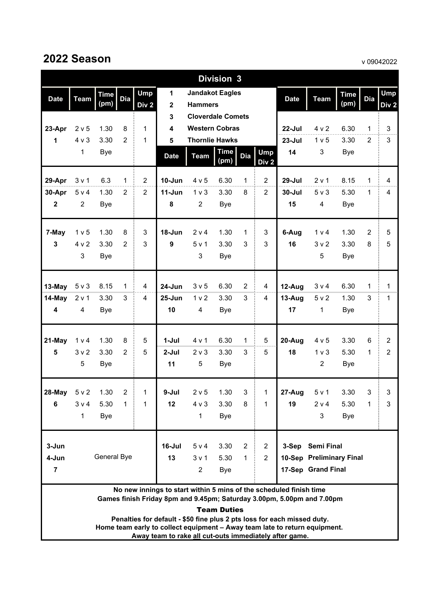### **2022 Season**

v 09042022

|                         | <b>Division 3</b>                                                                                                                            |             |                     |                  |                                         |                                                   |             |                |                |                                                                         |                           |              |                     |                |
|-------------------------|----------------------------------------------------------------------------------------------------------------------------------------------|-------------|---------------------|------------------|-----------------------------------------|---------------------------------------------------|-------------|----------------|----------------|-------------------------------------------------------------------------|---------------------------|--------------|---------------------|----------------|
| <b>Date</b>             | <b>Team</b>                                                                                                                                  | <b>Time</b> | Dia                 | <b>Ump</b>       | 1                                       | <b>Jandakot Eagles</b>                            |             |                |                | <b>Date</b>                                                             | <b>Team</b>               | <b>Time</b>  | <b>Dia</b>          | <b>Ump</b>     |
|                         |                                                                                                                                              | (pm)        |                     | Div <sub>2</sub> | $\mathbf 2$                             | <b>Hammers</b>                                    |             |                |                |                                                                         |                           | (pm)         |                     | Div 2          |
|                         |                                                                                                                                              | 1.30        |                     | 1                | $\mathbf{3}$<br>$\overline{\mathbf{4}}$ | <b>Cloverdale Comets</b><br><b>Western Cobras</b> |             |                |                |                                                                         |                           |              |                     | 3              |
| 23-Apr<br>1             | 2 <sub>v</sub> 5<br>4 v 3                                                                                                                    | 3.30        | 8<br>$\overline{2}$ | $\mathbf 1$      | 5                                       | <b>Thornlie Hawks</b>                             |             |                |                | 22-Jul<br>$23 -$ Jul                                                    | 4 v 2<br>1 <sub>v</sub> 5 | 6.30<br>3.30 | 1<br>$\overline{2}$ | $\mathbf{3}$   |
|                         | 1                                                                                                                                            | <b>Bye</b>  |                     |                  |                                         |                                                   | <b>Time</b> |                | <b>Ump</b>     | 14                                                                      | 3                         | <b>Bye</b>   |                     |                |
|                         |                                                                                                                                              |             |                     |                  | <b>Date</b>                             | <b>Team</b>                                       | (pm)        | <b>Dia</b>     |                |                                                                         |                           |              |                     |                |
| 29-Apr                  | 3 <sub>v</sub> 1                                                                                                                             | 6.3         | 1                   | $\overline{2}$   | 10-Jun                                  | 4 v 5                                             | 6.30        | 1              | $\overline{2}$ | 29-Jul                                                                  | 2 v 1                     | 8.15         | $\mathbf{1}$        | 4              |
| 30-Apr                  | 5 v 4                                                                                                                                        | 1.30        | $\overline{2}$      | $\overline{2}$   | $11-Jun$                                | 1 <sub>v</sub>                                    | 3.30        | 8              | $\overline{2}$ | $30 -$ Jul                                                              | $5 \vee 3$                | 5.30         | $\mathbf{1}$        | 4              |
| $\mathbf{2}$            | $\overline{2}$                                                                                                                               | <b>Bye</b>  |                     |                  | 8                                       | $\overline{2}$                                    | <b>Bye</b>  |                |                | 15                                                                      | 4                         | Bye          |                     |                |
| 7-May                   | 1 <sub>v</sub> 5                                                                                                                             | 1.30        | 8                   | 3                | 18-Jun                                  | 2 v 4                                             | 1.30        | 1              | 3              | 6-Aug                                                                   | 1 v 4                     | 1.30         | $\overline{2}$      | 5              |
| 3                       | 4 v 2                                                                                                                                        | 3.30        | 2                   | 3                | $\boldsymbol{9}$                        | 5 v 1                                             | 3.30        | 3              | 3              | 16                                                                      | 3 <sub>v</sub>            | 3.30         | 8                   | $\sqrt{5}$     |
|                         | 3                                                                                                                                            | Bye         |                     |                  |                                         | $\mathsf 3$                                       | <b>Bye</b>  |                |                |                                                                         | 5                         | Bye          |                     |                |
| 13-May                  | $5 \vee 3$                                                                                                                                   | 8.15        | 1                   | 4                | 24-Jun                                  | 3 <sub>v</sub> 5                                  | 6.30        | $\overline{2}$ | 4              | 12-Aug                                                                  | 3 v 4                     | 6.30         | $\mathbf{1}$        | $\mathbf{1}$   |
| 14-May                  | 2 v 1                                                                                                                                        | 3.30        | 3                   | 4                | $25 - Jun$                              | 1 <sub>v</sub>                                    | 3.30        | 3              | 4              | 13-Aug                                                                  | 5 v 2                     | 1.30         | 3                   | 1              |
| $\overline{\mathbf{4}}$ | 4                                                                                                                                            | <b>Bye</b>  |                     |                  | 10                                      | 4                                                 | <b>Bye</b>  |                |                | 17                                                                      | 1                         | Bye          |                     |                |
|                         |                                                                                                                                              |             |                     |                  |                                         |                                                   |             |                |                |                                                                         |                           |              |                     |                |
| 21-May                  | 1 v 4                                                                                                                                        | 1.30        | 8                   | 5                | $1-Jul$                                 | 4 v 1                                             | 6.30        | 1              | 5              | 20-Aug                                                                  | 4 v 5                     | 3.30         | 6                   | $\overline{2}$ |
| 5                       | 3 <sub>v</sub> 2                                                                                                                             | 3.30        | 2                   | 5                | $2-Jul$                                 | $2 \vee 3$                                        | 3.30        | 3              | 5              | 18                                                                      | 1 <sub>v</sub>            | 5.30         | 1                   | $\overline{2}$ |
|                         | 5                                                                                                                                            | <b>Bye</b>  |                     |                  | 11                                      | 5                                                 | <b>Bye</b>  |                |                |                                                                         | $\overline{2}$            | <b>Bye</b>   |                     |                |
| 28-May                  | 5 v 2                                                                                                                                        | 1.30        | $\overline{c}$      | $\mathbf 1$      | 9-Jul                                   | 2 v 5                                             | 1.30        | 3              | 1              | 27-Aug                                                                  | 5 v 1                     | 3.30         | 3                   | 3              |
| 6                       | 3 v 4                                                                                                                                        | 5.30        | 1                   | 1                | 12                                      | 4 v 3                                             | 3.30        | 8              | 1              | 19                                                                      | 2 v 4                     | 5.30         | 1                   | 3              |
|                         | 1                                                                                                                                            | <b>Bye</b>  |                     |                  |                                         | 1                                                 | <b>Bye</b>  |                |                |                                                                         | 3                         | <b>Bye</b>   |                     |                |
| 3-Jun                   |                                                                                                                                              |             |                     |                  | 16-Jul                                  | 5 v 4                                             | 3.30        | $\overline{2}$ | $\overline{2}$ |                                                                         | 3-Sep Semi Final          |              |                     |                |
| 4-Jun                   |                                                                                                                                              | General Bye |                     |                  | 13                                      | 3 <sub>v</sub> 1                                  | 5.30        | $\mathbf{1}$   | $\overline{2}$ |                                                                         |                           |              |                     |                |
| $\overline{7}$          | 10-Sep Preliminary Final<br>17-Sep Grand Final<br>$\overline{2}$<br><b>Bye</b>                                                               |             |                     |                  |                                         |                                                   |             |                |                |                                                                         |                           |              |                     |                |
|                         | No new innings to start within 5 mins of the scheduled finish time<br>Games finish Friday 8pm and 9.45pm; Saturday 3.00pm, 5.00pm and 7.00pm |             |                     |                  |                                         |                                                   |             |                |                |                                                                         |                           |              |                     |                |
| <b>Team Duties</b>      |                                                                                                                                              |             |                     |                  |                                         |                                                   |             |                |                |                                                                         |                           |              |                     |                |
|                         |                                                                                                                                              |             |                     |                  |                                         |                                                   |             |                |                | Penalties for default - \$50 fine plus 2 pts loss for each missed duty. |                           |              |                     |                |

**Home team early to collect equipment – Away team late to return equipment.** 

**Away team to rake all cut-outs immediately after game.**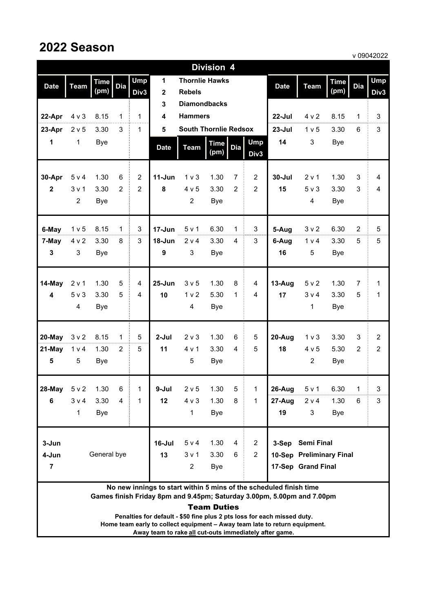## **2022 Season**

|                         | <b>Division 4</b>                                                                                                                                                  |             |                |                |                  |                              |                     |                |                    |             |                          |             |                |                |
|-------------------------|--------------------------------------------------------------------------------------------------------------------------------------------------------------------|-------------|----------------|----------------|------------------|------------------------------|---------------------|----------------|--------------------|-------------|--------------------------|-------------|----------------|----------------|
| <b>Date</b>             | <b>Team</b>                                                                                                                                                        | <b>Time</b> | Dia            | <b>Ump</b>     | 1                | <b>Thornlie Hawks</b>        |                     |                |                    | <b>Date</b> | <b>Team</b>              | <b>Time</b> | <b>Dia</b>     | <b>Ump</b>     |
|                         |                                                                                                                                                                    | (pm)        |                | Div3           | $\mathbf{2}$     | <b>Rebels</b>                |                     |                |                    |             |                          | (pm)        |                | Div3           |
|                         |                                                                                                                                                                    |             |                |                | 3                | <b>Diamondbacks</b>          |                     |                |                    |             |                          |             |                |                |
| 22-Apr                  | $4 \vee 3$                                                                                                                                                         | 8.15        | 1              | $\mathbf{1}$   | 4                | <b>Hammers</b>               |                     |                |                    | $22$ -Jul   | 4 v 2                    | 8.15        | 1              | 3              |
| 23-Apr                  | 2 v 5                                                                                                                                                              | 3.30        | 3              | $\mathbf{1}$   | 5                | <b>South Thornlie Redsox</b> |                     |                |                    | $23 -$ Jul  | 1 v 5                    | 3.30        | 6              | 3              |
| 1                       | $\mathbf{1}$                                                                                                                                                       | Bye         |                |                | <b>Date</b>      | <b>Team</b>                  | <b>Time</b><br>(pm) | <b>Dia</b>     | <b>Ump</b><br>Div3 | 14          | 3                        | Bye         |                |                |
| 30-Apr                  | 5 v 4                                                                                                                                                              | 1.30        | 6              | $\overline{2}$ | $11-Jun$         | 1 <sub>v</sub>               | 1.30                | 7              | $\overline{2}$     | $30 -$ Jul  | 2 v 1                    | 1.30        | 3              | $\overline{4}$ |
| $\mathbf{2}$            | $3v$ 1                                                                                                                                                             | 3.30        | 2              | 2              | 8                | 4 v 5                        | 3.30                | $\overline{2}$ | $\overline{2}$     | 15          | $5v$ 3                   | 3.30        | 3              | $\overline{4}$ |
|                         | $\overline{c}$                                                                                                                                                     | Bye         |                |                |                  | $\overline{2}$               | <b>Bye</b>          |                |                    |             | 4                        | Bye         |                |                |
| 6-May                   | 1 v 5                                                                                                                                                              | 8.15        | $\mathbf{1}$   | 3              | $17 - Jun$       | 5 v 1                        | 6.30                | 1              | 3                  | 5-Aug       | 3 <sub>v</sub> 2         | 6.30        | $\overline{2}$ | 5              |
| 7-May                   | 4 v 2                                                                                                                                                              | 3.30        | 8              | 3              | $18 - Jun$       | 2 v 4                        | 3.30                | 4              | 3                  | 6-Aug       | 1 v 4                    | 3.30        | 5              | 5              |
| 3                       | 3                                                                                                                                                                  | Bye         |                |                | $\boldsymbol{9}$ | 3                            | Bye                 |                |                    | 16          | 5                        | Bye         |                |                |
| 14-May                  | 2 v 1                                                                                                                                                              | 1.30        | 5              | 4              | $25 - Jun$       | 3 <sub>v</sub> 5             | 1.30                | 8              | $\overline{4}$     | 13-Aug      | 5 v 2                    | 1.30        | $\overline{7}$ | 1              |
| $\overline{\mathbf{4}}$ | 5 v 3                                                                                                                                                              | 3.30        | 5              | 4              | 10               | 1 <sub>v</sub>               | 5.30                | 1              | $\overline{4}$     | 17          | 3 v 4                    | 3.30        | 5              | 1              |
|                         | 4                                                                                                                                                                  | <b>Bye</b>  |                |                |                  | 4                            | <b>Bye</b>          |                |                    |             | 1                        | <b>Bye</b>  |                |                |
| 20-May                  | 3 <sub>v</sub> 2                                                                                                                                                   | 8.15        | 1              | 5              | $2-Jul$          | 2 v 3                        | 1.30                | 6              | 5                  | 20-Aug      | 1 <sub>v</sub>           | 3.30        | 3              | $\overline{2}$ |
| 21-May                  | 1 <sub>v</sub> 4                                                                                                                                                   | 1.30        | 2              | 5              | 11               | 4 v 1                        | 3.30                | 4              | 5                  | 18          | 4 v 5                    | 5.30        | $\overline{2}$ | $\overline{2}$ |
| 5                       | 5                                                                                                                                                                  | <b>Bye</b>  |                |                |                  | 5                            | Bye                 |                |                    |             | $\overline{c}$           | Bye         |                |                |
| 28-May                  | 5 v 2                                                                                                                                                              | 1.30        | 6              | 1              | 9-Jul            | $2 v 5$                      | 1.30                | 5              | 1                  | 26-Aug      | 5 v 1                    | 6.30        | $\mathbf 1$    | 3              |
| 6                       | 3 v 4                                                                                                                                                              | 3.30        | $\overline{4}$ | 1              | 12               | $4 \vee 3$                   | 1.30                | 8              | 1                  | 27-Aug      | 2 v 4                    | 1.30        | 6              | 3              |
|                         | 1                                                                                                                                                                  | <b>Bye</b>  |                |                |                  | 1                            | Bye                 |                |                    | 19          | 3                        | <b>Bye</b>  |                |                |
| 3-Jun                   |                                                                                                                                                                    |             |                |                | $16 -$ Jul       | 5 v 4                        | 1.30                | 4              | $\overline{2}$     |             | 3-Sep Semi Final         |             |                |                |
| 4-Jun                   |                                                                                                                                                                    | General bye |                |                | 13               | 3 v 1                        | 3.30                | 6              | $\overline{2}$     |             | 10-Sep Preliminary Final |             |                |                |
| $\overline{7}$          |                                                                                                                                                                    |             |                |                |                  | $\overline{2}$               | <b>Bye</b>          |                |                    |             | 17-Sep Grand Final       |             |                |                |
|                         | No new innings to start within 5 mins of the scheduled finish time<br>Games finish Friday 8pm and 9.45pm; Saturday 3.00pm, 5.00pm and 7.00pm<br><b>Team Duties</b> |             |                |                |                  |                              |                     |                |                    |             |                          |             |                |                |

**Penalties for default - \$50 fine plus 2 pts loss for each missed duty. Home team early to collect equipment – Away team late to return equipment. Away team to rake all cut-outs immediately after game.**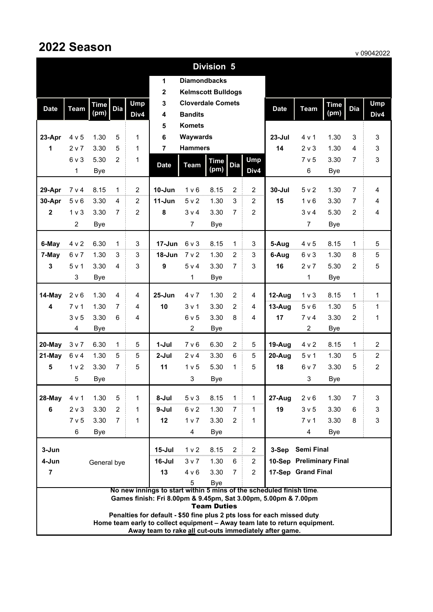|                                                                                                                                       | <b>Division 5</b>                                                                                                                    |             |                |                |              |                           |                    |                |                |             |                         |             |                |                |
|---------------------------------------------------------------------------------------------------------------------------------------|--------------------------------------------------------------------------------------------------------------------------------------|-------------|----------------|----------------|--------------|---------------------------|--------------------|----------------|----------------|-------------|-------------------------|-------------|----------------|----------------|
|                                                                                                                                       |                                                                                                                                      |             |                |                | 1            | <b>Diamondbacks</b>       |                    |                |                |             |                         |             |                |                |
|                                                                                                                                       |                                                                                                                                      |             |                |                | $\mathbf{2}$ | <b>Kelmscott Bulldogs</b> |                    |                |                |             |                         |             |                |                |
| <b>Date</b>                                                                                                                           | <b>Team</b>                                                                                                                          | <b>Time</b> | Dia            | <b>Ump</b>     | 3            | <b>Cloverdale Comets</b>  |                    |                |                | <b>Date</b> | <b>Team</b>             | <b>Time</b> | <b>Dia</b>     | Ump            |
|                                                                                                                                       |                                                                                                                                      | (pm)        |                | Div4           | 4            | <b>Bandits</b>            |                    |                |                |             |                         | (pm)        |                | Div4           |
|                                                                                                                                       |                                                                                                                                      |             |                |                | 5            | <b>Komets</b>             |                    |                |                |             |                         |             |                |                |
| 23-Apr                                                                                                                                | 4 v 5                                                                                                                                | 1.30        | 5              | 1              | 6            | Waywards                  |                    |                |                | $23 -$ Jul  | 4 v 1                   | 1.30        | 3              | 3              |
| 1                                                                                                                                     | 2 v 7                                                                                                                                | 3.30        | 5              | 1              | 7            | <b>Hammers</b>            |                    |                |                | 14          | 2 <sub>v</sub> 3        | 1.30        | 4              | 3              |
|                                                                                                                                       | 6v3                                                                                                                                  | 5.30        | 2              | 1              | <b>Date</b>  | <b>Team</b>               | <b>Time</b>        | Dia            | <b>Ump</b>     |             | 7 v 5                   | 3.30        | $\overline{7}$ | 3              |
|                                                                                                                                       | 1                                                                                                                                    | <b>Bye</b>  |                |                |              |                           | (pm)               |                | Div4           |             | 6                       | <b>Bye</b>  |                |                |
| 29-Apr                                                                                                                                | 7 v 4                                                                                                                                | 8.15        | 1              | $\overline{2}$ | 10-Jun       | 1 <sub>v</sub> 6          | 8.15               | 2              | $\overline{2}$ | $30 -$ Jul  | 5 <sub>v</sub> 2        | 1.30        | $\overline{7}$ | 4              |
| 30-Apr                                                                                                                                | 5 v 6                                                                                                                                | 3.30        | 4              | 2              | 11-Jun       | 5 <sub>v</sub> 2          | 1.30               | 3              | 2              | 15          | 1 v 6                   | 3.30        | 7              | 4              |
| $\mathbf{2}$                                                                                                                          | $1v$ 3                                                                                                                               | 3.30        | 7              | $\overline{2}$ | 8            | 3 v 4                     | 3.30               | $\overline{7}$ | $\overline{2}$ |             | 3 v 4                   | 5.30        | $\overline{2}$ | 4              |
|                                                                                                                                       | $\overline{2}$                                                                                                                       | <b>Bye</b>  |                |                |              | $\overline{7}$            | <b>Bye</b>         |                |                |             | $\overline{7}$          | <b>Bye</b>  |                |                |
| 6-May                                                                                                                                 | 4 v 2                                                                                                                                | 6.30        | 1              | 3              | 17-Jun       | 6v3                       | 8.15               | $\mathbf{1}$   | 3              | 5-Aug       | 4 v 5                   | 8.15        | $\mathbf{1}$   | 5              |
| 7-May                                                                                                                                 | 6 v 7                                                                                                                                | 1.30        | 3              | 3              | $18 - Jun$   | 7 v 2                     | 1.30               | 2              | 3              | 6-Aug       | 6 v 3                   | 1.30        | 8              | 5              |
| 3                                                                                                                                     | 5v1                                                                                                                                  | 3.30        | 4              | 3              | 9            | 5 v 4                     | 3.30               | $\overline{7}$ | 3              | 16          | 2 <sub>v</sub>          | 5.30        | 2              | 5              |
|                                                                                                                                       | 3                                                                                                                                    | <b>Bye</b>  |                |                |              | $\mathbf 1$               | <b>Bye</b>         |                |                |             | 1                       | <b>Bye</b>  |                |                |
|                                                                                                                                       |                                                                                                                                      |             |                |                |              |                           |                    |                |                |             |                         |             |                |                |
| 14-May                                                                                                                                | 2 v 6                                                                                                                                | 1.30        | 4              | 4              | $25 - Jun$   | 4 v 7                     | 1.30               | $\overline{2}$ | 4              | 12-Aug      | 1 <sub>v</sub>          | 8.15        | $\mathbf 1$    | 1              |
| 4                                                                                                                                     | 7 v 1                                                                                                                                | 1.30        | 7              | 4              | 10           | 3 <sub>v</sub> 1          | 3.30               | $\overline{2}$ | 4              | $13-Auq$    | 5 v 6                   | 1.30        | 5              | 1              |
|                                                                                                                                       | 3 <sub>v</sub> 5                                                                                                                     | 3.30        | 6              | 4              |              | 6v5<br>$\overline{2}$     | 3.30               | 8              | $\overline{4}$ | 17          | 7 v 4<br>$\overline{c}$ | 3.30        | 2              | 1              |
|                                                                                                                                       | 4                                                                                                                                    | <b>Bye</b>  |                |                |              |                           | <b>Bye</b>         |                |                |             |                         | <b>Bye</b>  |                |                |
| 20-May                                                                                                                                | 3 v 7                                                                                                                                | 6.30        | 1              | 5              | 1-Jul        | 7 v 6                     | 6.30               | $\overline{2}$ | 5              | 19-Aug      | 4 v 2                   | 8.15        | $\mathbf{1}$   | $\overline{2}$ |
| 21-May                                                                                                                                | 6 v 4                                                                                                                                | 1.30        | 5              | 5              | $2-Jul$      | 2 v 4                     | 3.30               | 6              | 5              | 20-Aug      | 5v1                     | 1.30        | 5              | $\overline{2}$ |
| 5                                                                                                                                     | 1 <sub>v</sub>                                                                                                                       | 3.30        | 7              | 5              | 11           | 1 v 5                     | 5.30               | 1              | 5              | 18          | 6 v 7                   | 3.30        | 5              | $\overline{2}$ |
|                                                                                                                                       | 5                                                                                                                                    | Bye         |                |                |              | 3                         | Bye                |                |                |             | 3                       | Bye         |                |                |
| 28-May                                                                                                                                | 4 v 1                                                                                                                                | 1.30        | 5              | 1              | 8-Jul        | 5 v 3                     | 8.15               | 1              | 1              | $27 - Aug$  | 2 v 6                   | 1.30        | 7              | 3              |
| 6                                                                                                                                     | $2 \vee 3$                                                                                                                           | 3.30        | 2              | 1              | 9-Jul        | 6 v 2                     | 1.30               | $\overline{7}$ | 1              | 19          | 3 <sub>v</sub> 5        | 3.30        | 6              | 3              |
|                                                                                                                                       | 7 <sub>v</sub> 5                                                                                                                     | 3.30        | $\overline{7}$ | $\mathbf{1}$   | 12           | 1 <sub>v</sub>            | 3.30               | $\overline{2}$ | 1              |             | 7 v 1                   | 3.30        | 8              | 3              |
|                                                                                                                                       | 6                                                                                                                                    | <b>Bye</b>  |                |                |              | 4                         | Bye                |                |                |             | $\overline{4}$          | <b>Bye</b>  |                |                |
| 3-Jun                                                                                                                                 |                                                                                                                                      |             |                |                | $15 -$ Jul   | 1 <sub>v</sub> 2          | 8.15               | 2              | $\overline{2}$ | 3-Sep       | <b>Semi Final</b>       |             |                |                |
| 4-Jun                                                                                                                                 | 10-Sep Preliminary Final<br>6<br>16-Jul<br>3 v 7<br>1.30<br>$\overline{2}$<br>General bye                                            |             |                |                |              |                           |                    |                |                |             |                         |             |                |                |
| $\overline{7}$                                                                                                                        | 13<br>$\overline{2}$<br>17-Sep Grand Final<br>4 v 6<br>3.30<br>$\overline{7}$                                                        |             |                |                |              |                           |                    |                |                |             |                         |             |                |                |
| 5<br>Bye                                                                                                                              |                                                                                                                                      |             |                |                |              |                           |                    |                |                |             |                         |             |                |                |
| No new innings to start within 5 mins of the scheduled finish time.<br>Games finish: Fri 8.00pm & 9.45pm, Sat 3.00pm, 5.00pm & 7.00pm |                                                                                                                                      |             |                |                |              |                           |                    |                |                |             |                         |             |                |                |
|                                                                                                                                       |                                                                                                                                      |             |                |                |              |                           | <b>Team Duties</b> |                |                |             |                         |             |                |                |
| Penalties for default - \$50 fine plus 2 pts loss for each missed duty.                                                               |                                                                                                                                      |             |                |                |              |                           |                    |                |                |             |                         |             |                |                |
|                                                                                                                                       | Home team early to collect equipment - Away team late to return equipment.<br>Away team to rake all cut-outs immediately after game. |             |                |                |              |                           |                    |                |                |             |                         |             |                |                |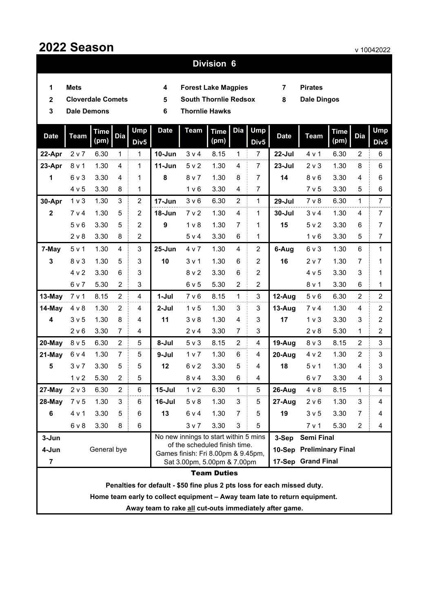#### **Division 6**

- **Mets**
- **14 7 Forest Lake Magpies**
- **Pirates**
- **Cloverdale Comets**
- 2 Cloverdale Comets **5 5 South Thornlie Redsox** 8
- **Dale Dingos**
- 
- 

| 3                       | <b>Thornlie Hawks</b><br><b>Dale Demons</b><br>6                        |                     |                |                                |             |                                                                     |                     |                |                             |             |                          |                     |                |                                |
|-------------------------|-------------------------------------------------------------------------|---------------------|----------------|--------------------------------|-------------|---------------------------------------------------------------------|---------------------|----------------|-----------------------------|-------------|--------------------------|---------------------|----------------|--------------------------------|
| <b>Date</b>             | <b>Team</b>                                                             | <b>Time</b><br>(pm) | <b>Dia</b>     | <b>Ump</b><br>Div <sub>5</sub> | <b>Date</b> | <b>Team</b>                                                         | <b>Time</b><br>(pm) |                | Dia Ump<br>Div <sub>5</sub> | <b>Date</b> | <b>Team</b>              | <b>Time</b><br>(pm) | <b>Dia</b>     | <b>Ump</b><br>Div <sub>5</sub> |
| 22-Apr                  | 2 <sub>v</sub>                                                          | 6.30                | $\mathbf{1}$   | 1                              | 10-Jun      | 3 <sub>v</sub> 4                                                    | 8.15                | 1              | $\overline{7}$              | 22-Jul      | 4 v 1                    | 6.30                | $\overline{2}$ | 6                              |
| 23-Apr                  | 8 v 1                                                                   | 1.30                | 4              | 1                              | $11 - Jun$  | 5 <sub>v</sub> 2                                                    | 1.30                | 4              | $\overline{7}$              | $23 -$ Jul  | 2 <sub>v</sub>           | 1.30                | 8              | 6                              |
| 1                       | $6v$ 3                                                                  | 3.30                | 4              | 1                              | 8           | 8 <sub>v</sub>                                                      | 1.30                | 8              | $\overline{7}$              | 14          | 8 <sub>v</sub> 6         | 3.30                | 4              | 6                              |
|                         | 4 v 5                                                                   | 3.30                | 8              | 1                              |             | 1 <sub>v</sub> 6                                                    | 3.30                | 4              | $\overline{7}$              |             | 7 v 5                    | 3.30                | 5              | $\,6$                          |
| 30-Apr                  | 1 <sub>v</sub>                                                          | 1.30                | 3              | $\overline{2}$                 | 17-Jun      | 3 <sub>v</sub> 6                                                    | 6.30                | $\overline{2}$ | $\mathbf{1}$                | 29-Jul      | $7v$ 8                   | 6.30                | $\mathbf{1}$   | $\overline{7}$                 |
| $\mathbf{2}$            | 7 <sub>v</sub> 4                                                        | 1.30                | 5              | $\overline{2}$                 | $18 - Jun$  | 7 <sub>v</sub> 2                                                    | 1.30                | 4              | 1                           | 30-Jul      | $3v$ 4                   | 1.30                | 4              | $\overline{7}$                 |
|                         | 5 <sub>v</sub> 6                                                        | 3.30                | 5              | $\overline{2}$                 | 9           | 1 <sub>v</sub>                                                      | 1.30                | 7              | 1                           | 15          | 5 v 2                    | 3.30                | 6              | $\overline{7}$                 |
|                         | 2 v 8                                                                   | 3.30                | 8              | $\overline{c}$                 |             | 5 v 4                                                               | 3.30                | 6              | 1                           |             | 1 <sub>v</sub> 6         | 3.30                | 5              | $\overline{7}$                 |
| 7-May                   | 5 v 1                                                                   | 1.30                | $\overline{4}$ | 3                              | $25 - Jun$  | 4 v 7                                                               | 1.30                | 4              | $\overline{2}$              | 6-Aug       | 6 v 3                    | 1.30                | 6              | $\mathbf{1}$                   |
| 3                       | $8v$ 3                                                                  | 1.30                | 5              | 3                              | 10          | $3v$ 1                                                              | 1.30                | 6              | 2                           | 16          | 2 v 7                    | 1.30                | $\overline{7}$ | 1                              |
|                         | 4 v 2                                                                   | 3.30                | 6              | 3                              |             | 8 <sub>v</sub>                                                      | 3.30                | 6              | $\overline{2}$              |             | 4 v 5                    | 3.30                | 3              | 1                              |
|                         | 6 v 7                                                                   | 5.30                | $\overline{2}$ | 3                              |             | 6v5                                                                 | 5.30                | $\overline{2}$ | $\overline{2}$              |             | 8 v 1                    | 3.30                | 6              | 1                              |
| 13-May                  | 7 v 1                                                                   | 8.15                | $\overline{2}$ | 4                              | $1-Jul$     | 7 <sub>v</sub> 6                                                    | 8.15                | $\mathbf 1$    | 3                           | 12-Aug      | 5 v 6                    | 6.30                | 2              | $\overline{c}$                 |
| 14-May                  | 4 v 8                                                                   | 1.30                | 2              | 4                              | 2-Jul       | 1 <sub>v</sub> 5                                                    | 1.30                | 3              | 3                           | 13-Aug      | 7 <sub>v</sub> 4         | 1.30                | 4              | $\overline{\mathbf{c}}$        |
| $\overline{\mathbf{4}}$ | 3 <sub>v</sub> 5                                                        | 1.30                | 8              | 4                              | 11          | $3v$ 8                                                              | 1.30                | 4              | 3                           | 17          | 1 <sub>v</sub>           | 3.30                | 3              | $\overline{c}$                 |
|                         | 2 v 6                                                                   | 3.30                | $\overline{7}$ | 4                              |             | 2 v 4                                                               | 3.30                | 7              | 3                           |             | 2 v 8                    | 5.30                | 1              | $\overline{c}$                 |
| 20-May                  | 8 v 5                                                                   | 6.30                | $\overline{2}$ | 5                              | 8-Jul       | 5 v 3                                                               | 8.15                | $\overline{2}$ | 4                           | 19-Aug      | 8 v 3                    | 8.15                | 2              | 3                              |
| 21-May                  | 6 v 4                                                                   | 1.30                | $\overline{7}$ | 5                              | 9-Jul       | 1 <sub>v</sub>                                                      | 1.30                | 6              | 4                           | 20-Aug      | 4 v 2                    | 1.30                | $\overline{2}$ | 3                              |
| 5                       | 3 <sub>v</sub>                                                          | 3.30                | 5              | 5                              | 12          | 6 v 2                                                               | 3.30                | 5              | 4                           | 18          | 5 v 1                    | 1.30                | 4              | 3                              |
|                         | 1 <sub>v</sub>                                                          | 5.30                | $\overline{2}$ | 5                              |             | 8 v 4                                                               | 3.30                | 6              | 4                           |             | 6 v 7                    | 3.30                | 4              | 3                              |
| 27-May                  | 2 <sub>v</sub>                                                          | 6.30                | $\overline{2}$ | 6                              | $15 -$ Jul  | 1 <sub>v</sub> 2                                                    | 6.30                | $\mathbf{1}$   | 5                           | 26-Aug      | $4 \vee 8$               | 8.15                | $\mathbf{1}$   | 4                              |
| 28-May                  | 7 v 5                                                                   | 1.30                | 3              | 6                              | 16-Jul      | $5v$ 8                                                              | 1.30                | 3              | 5                           | 27-Aug      | 2 v 6                    | 1.30                | 3              | 4                              |
| 6                       | 4 v 1                                                                   | 3.30                | 5              | 6                              | 13          | 6 v 4                                                               | 1.30                | $\overline{7}$ | 5                           | 19          | 3 <sub>v</sub> 5         | 3.30                | $\overline{7}$ | 4                              |
|                         | $6v$ 8                                                                  | 3.30                | 8              | 6                              |             | 3 v 7                                                               | 3.30                | 3              | 5                           |             | 7 v 1                    | 5.30                | $\overline{c}$ | 4                              |
| 3-Jun                   |                                                                         |                     |                |                                |             | No new innings to start within 5 mins                               |                     |                |                             | 3-Sep       | <b>Semi Final</b>        |                     |                |                                |
| 4-Jun                   |                                                                         | General bye         |                |                                |             | of the scheduled finish time.<br>Games finish: Fri 8.00pm & 9.45pm, |                     |                |                             |             | 10-Sep Preliminary Final |                     |                |                                |
| $\overline{7}$          |                                                                         |                     |                |                                |             | Sat 3.00pm, 5.00pm & 7.00pm                                         |                     |                |                             |             | 17-Sep Grand Final       |                     |                |                                |
| <b>Team Duties</b>      |                                                                         |                     |                |                                |             |                                                                     |                     |                |                             |             |                          |                     |                |                                |
|                         | Penalties for default - \$50 fine plus 2 pts loss for each missed duty. |                     |                |                                |             |                                                                     |                     |                |                             |             |                          |                     |                |                                |

**Home team early to collect equipment – Away team late to return equipment.** 

**Away team to rake all cut-outs immediately after game.**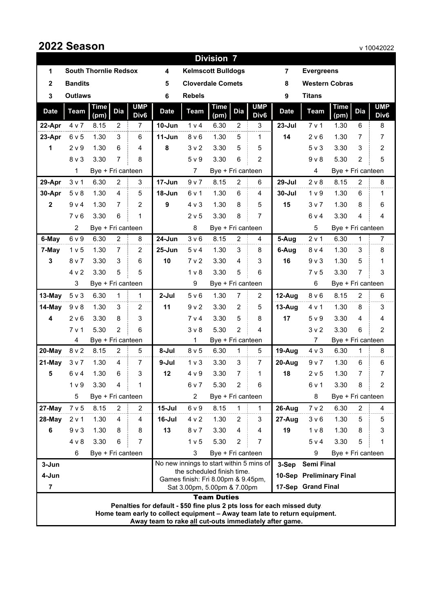|                |                                                                                                                                                       |                              |                |                  | V IUVIZUZZ<br><b>Division 7</b>                        |                                                                        |                    |                |                  |                |                          |                   |                |                  |  |  |
|----------------|-------------------------------------------------------------------------------------------------------------------------------------------------------|------------------------------|----------------|------------------|--------------------------------------------------------|------------------------------------------------------------------------|--------------------|----------------|------------------|----------------|--------------------------|-------------------|----------------|------------------|--|--|
| 1              |                                                                                                                                                       | <b>South Thornlie Redsox</b> |                |                  | 4                                                      | <b>Kelmscott Bulldogs</b>                                              |                    |                |                  | $\overline{7}$ | <b>Evergreens</b>        |                   |                |                  |  |  |
| $\mathbf{2}$   | <b>Bandits</b>                                                                                                                                        |                              |                |                  | 5                                                      | <b>Cloverdale Comets</b>                                               |                    |                |                  | 8              | <b>Western Cobras</b>    |                   |                |                  |  |  |
| 3              | <b>Outlaws</b>                                                                                                                                        |                              |                |                  | 6                                                      | <b>Rebels</b>                                                          |                    |                |                  | 9              | <b>Titans</b>            |                   |                |                  |  |  |
|                |                                                                                                                                                       | <b>Time</b>                  |                | <b>UMP</b>       |                                                        |                                                                        | <b>Time</b>        |                | <b>UMP</b>       |                |                          | <b>Time</b>       |                | <b>UMP</b>       |  |  |
| <b>Date</b>    | <b>Team</b>                                                                                                                                           | (pm)                         | <b>Dia</b>     | Div <sub>6</sub> | <b>Date</b>                                            | <b>Team</b>                                                            | (pm)               | <b>Dia</b>     | Div <sub>6</sub> | <b>Date</b>    | <b>Team</b>              | (pm)              | <b>Dia</b>     | Div <sub>6</sub> |  |  |
| 22-Apr         | 4 v 7                                                                                                                                                 | 8.15                         | $\overline{2}$ | $\overline{7}$   | $10 - Jun$                                             | 1 <sub>v</sub> 4                                                       | 6.30               | $\overline{c}$ | 3                | $23 -$ Jul     | 7 v 1                    | 1.30              | 6              | 8                |  |  |
| 23-Apr         | 6 v 5                                                                                                                                                 | 1.30                         | 3              | 6                | $11-Jun$                                               | 8 <sub>v</sub> 6                                                       | 1.30               | 5              | 1                | 14             | 2 v 6                    | 1.30              | 7              | $\overline{7}$   |  |  |
| 1              | 2 <sub>v</sub> 9                                                                                                                                      | 1.30                         | 6              | 4                | 8                                                      | 3 <sub>v</sub> 2                                                       | 3.30               | 5              | 5                |                | 5 v 3                    | 3.30              | 3              | $\overline{c}$   |  |  |
|                | $8v$ 3                                                                                                                                                | 3.30                         | $\overline{7}$ | 8                |                                                        | 5 <sub>v</sub> 9                                                       | 3.30               | 6              | $\overline{2}$   |                | $9V$ 8                   | 5.30              | $\overline{2}$ | 5                |  |  |
|                | 1                                                                                                                                                     | Bye + Fri canteen            |                |                  |                                                        | $\overline{7}$                                                         | Bye + Fri canteen  |                |                  |                | 4                        | Bye + Fri canteen |                |                  |  |  |
| 29-Apr         | 3 <sub>v</sub> 1                                                                                                                                      | 6.30                         | $\overline{2}$ | 3                | 17-Jun                                                 | 9 v 7                                                                  | 8.15               | $\overline{2}$ | 6                | $29 -$ Jul     | 2 v 8                    | 8.15              | $\overline{2}$ | 8                |  |  |
| 30-Apr         | $5v$ 8                                                                                                                                                | 1.30                         | 4              | 5                | 18-Jun                                                 | 6 v 1                                                                  | 1.30               | 6              | 4                | $30 -$ Jul     | 1 <sub>v</sub> 9         | 1.30              | 6              | 1                |  |  |
| $\mathbf{2}$   | 9 v 4                                                                                                                                                 | 1.30                         | 7              | $\overline{c}$   | 9                                                      | $4 \vee 3$                                                             | 1.30               | 8              | 5                | 15             | 3 <sub>v</sub>           | 1.30              | 8              | 6                |  |  |
|                | 7 v 6                                                                                                                                                 | 3.30                         | 6              | $\mathbf{1}$     |                                                        | 2 v 5                                                                  | 3.30               | 8              | 7                |                | 6v4                      | 3.30              | 4              | 4                |  |  |
|                | 2                                                                                                                                                     | Bye + Fri canteen            |                |                  |                                                        | 8                                                                      | Bye + Fri canteen  |                |                  |                | 5                        | Bye + Fri canteen |                |                  |  |  |
| 6-May          | 6 v 9                                                                                                                                                 | 6.30                         | $\overline{2}$ | 8                | 24-Jun                                                 | 3 <sub>v</sub> 6                                                       | 8.15               | $\overline{2}$ | $\overline{4}$   | 5-Aug          | 2 v 1                    | 6.30              | 1              | $\overline{7}$   |  |  |
| 7-May          | 1 <sub>v</sub> 5                                                                                                                                      | 1.30                         | 7              | $\overline{2}$   | $25 - Jun$                                             | 5 v 4                                                                  | 1.30               | 3              | 8                | 6-Aug          | $8v$ 4                   | 1.30              | 3              | 8                |  |  |
| 3              | 8 <sub>v</sub>                                                                                                                                        | 3.30                         | 3              | 6                | 10                                                     | 7 v 2                                                                  | 3.30               | 4              | 3                | 16             | 9 <sub>v</sub>           | 1.30              | 5              | 1                |  |  |
|                | 4 v 2                                                                                                                                                 | 3.30                         | 5              | 5                |                                                        | 1 <sub>v</sub>                                                         | 3.30               | 5              | 6                |                | 7 v 5                    | 3.30              | $\overline{7}$ | $\sqrt{3}$       |  |  |
|                | 3                                                                                                                                                     | Bye + Fri canteen            |                |                  |                                                        | 9                                                                      | Bye + Fri canteen  |                |                  |                | 6                        | Bye + Fri canteen |                |                  |  |  |
| 13-May         | $5v$ 3                                                                                                                                                | 6.30                         | 1              | 1                | 2-Jul                                                  | 5 <sub>v</sub> 6                                                       | 1.30               | $\overline{7}$ | 2                | 12-Aug         | 8 <sub>v</sub> 6         | 8.15              | $\overline{2}$ | 6                |  |  |
| 14-May         | 9 v 8                                                                                                                                                 | 1.30                         | 3              | 2                | 11                                                     | 9 <sub>v</sub>                                                         | 3.30               | 2              | 5                | $13-Aug$       | 4 v 1                    | 1.30              | 8              | 3                |  |  |
| 4              | 2 v 6                                                                                                                                                 | 3.30                         | 8              | 3                |                                                        | 7 v 4                                                                  | 3.30               | 5              | 8                | 17             | 5 <sub>v</sub> 9         | 3.30              | 4              | 4                |  |  |
|                | 7 <sub>v</sub> 1                                                                                                                                      | 5.30                         | 2              | 6                |                                                        | $3v$ 8                                                                 | 5.30               | $\overline{2}$ | 4                |                | 3 <sub>v</sub> 2         | 3.30              | 6              | $\overline{2}$   |  |  |
|                | 4                                                                                                                                                     | Bye + Fri canteen            |                |                  |                                                        | 1                                                                      | Bye + Fri canteen  |                |                  |                | 7                        | Bye + Fri canteen |                |                  |  |  |
| 20-May         | 8 v 2                                                                                                                                                 | 8.15                         | 2              | 5                | 8-Jul                                                  | 8 <sub>v</sub> 5                                                       | 6.30               | 1              | 5                | 19-Aug         | $4 \vee 3$               | 6.30              | 1              | 8                |  |  |
| 21-May         | 3 v 7                                                                                                                                                 | 1.30                         | 4              | $\overline{7}$   | 9-Jul                                                  | 1 <sub>v</sub>                                                         | 3.30               | 3              | 7                | $20 - Aug$     | 9 v 7                    | 1.30              | 6              | 6                |  |  |
| 5              | 6 v 4                                                                                                                                                 | 1.30                         | 6              | 3                | 12                                                     | 4 <sub>V</sub> 9                                                       | 3.30               | $\overline{7}$ | $\mathbf 1$      | 18             | 2 v 5                    | 1.30              | 7              | 7                |  |  |
|                | 1 <sub>v</sub> 9                                                                                                                                      | 3.30                         | 4              | 1                |                                                        | 6 v 7                                                                  | 5.30               | 2              | 6                |                | 6 v 1                    | 3.30              | 8              | 2                |  |  |
|                | 5                                                                                                                                                     | Bye + Fri canteen            |                |                  |                                                        | 2                                                                      | Bye + Fri canteen  |                |                  |                | 8                        | Bye + Fri canteen |                |                  |  |  |
| 27-May         | 7 v 5                                                                                                                                                 | 8.15                         | 2              | 2                | $15 -$ Jul                                             | 6 v 9                                                                  | 8.15               | 1              | 1                | 26-Aug         | 7 v 2                    | 6.30              | 2              | 4                |  |  |
| 28-May         | 2 v 1                                                                                                                                                 | 1.30                         | 4              | 4                | 16-Jul                                                 | 4 v 2                                                                  | 1.30               | $\overline{c}$ | 3                | 27-Aug         | 3 <sub>v</sub> 6         | 1.30              | 5              | 5                |  |  |
| 6              | 9 <sub>v</sub>                                                                                                                                        | 1.30                         | 8              | 8                | 13                                                     | 8 v 7                                                                  | 3.30<br>5.30       | 4              | 4                | 19             | 1 <sub>v</sub>           | 1.30              | 8              | 3                |  |  |
|                | 4 v 8                                                                                                                                                 | 3.30                         | 6              | 7                |                                                        | 1 <sub>v</sub> 5                                                       | 2                  |                | 5 v 4            | 3.30           | 5                        | 1                 |                |                  |  |  |
|                | 6<br>Bye + Fri canteen<br>3<br>Bye + Fri canteen<br>9<br>Bye + Fri canteen                                                                            |                              |                |                  |                                                        |                                                                        |                    |                |                  |                |                          |                   |                |                  |  |  |
| 3-Jun          |                                                                                                                                                       |                              |                |                  |                                                        | No new innings to start within 5 mins of<br>the scheduled finish time. |                    |                |                  | 3-Sep          | <b>Semi Final</b>        |                   |                |                  |  |  |
| 4-Jun          |                                                                                                                                                       |                              |                |                  |                                                        | Games finish: Fri 8.00pm & 9.45pm,                                     |                    |                |                  |                | 10-Sep Preliminary Final |                   |                |                  |  |  |
| $\overline{7}$ |                                                                                                                                                       |                              |                |                  |                                                        | Sat 3.00pm, 5.00pm & 7.00pm                                            |                    |                |                  |                | 17-Sep Grand Final       |                   |                |                  |  |  |
|                |                                                                                                                                                       |                              |                |                  |                                                        |                                                                        | <b>Team Duties</b> |                |                  |                |                          |                   |                |                  |  |  |
|                | Penalties for default - \$50 fine plus 2 pts loss for each missed duty.<br>Home team early to collect equipment - Away team late to return equipment. |                              |                |                  |                                                        |                                                                        |                    |                |                  |                |                          |                   |                |                  |  |  |
|                |                                                                                                                                                       |                              |                |                  | Away team to rake all cut-outs immediately after game. |                                                                        |                    |                |                  |                |                          |                   |                |                  |  |  |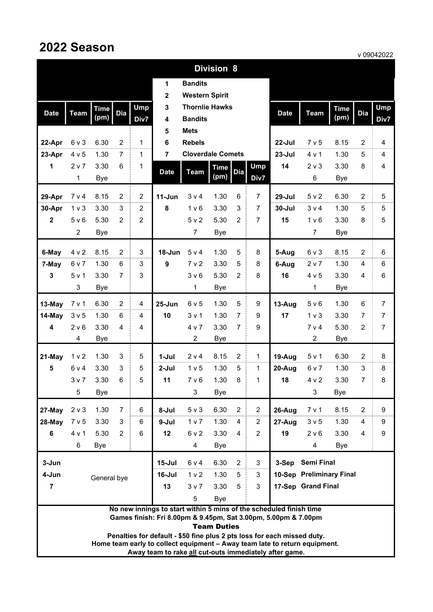## **2022 Season**

v 09042022

|                                                                                                                                      | , 000 ILVL<br><b>Division 8</b>                                         |             |                                                                                                                                      |                |                         |                          |                    |                |                |             |                          |             |                |                |
|--------------------------------------------------------------------------------------------------------------------------------------|-------------------------------------------------------------------------|-------------|--------------------------------------------------------------------------------------------------------------------------------------|----------------|-------------------------|--------------------------|--------------------|----------------|----------------|-------------|--------------------------|-------------|----------------|----------------|
|                                                                                                                                      |                                                                         |             |                                                                                                                                      |                | 1                       | <b>Bandits</b>           |                    |                |                |             |                          |             |                |                |
|                                                                                                                                      |                                                                         |             |                                                                                                                                      |                | $\overline{\mathbf{2}}$ | <b>Western Spirit</b>    |                    |                |                |             |                          |             |                |                |
| <b>Date</b>                                                                                                                          | <b>Team</b>                                                             | <b>Time</b> | <b>Dia</b>                                                                                                                           | Ump            | 3                       | <b>Thornlie Hawks</b>    |                    |                |                | <b>Date</b> | <b>Team</b>              | <b>Time</b> | <b>Dia</b>     | <b>Ump</b>     |
|                                                                                                                                      |                                                                         | (pm)        |                                                                                                                                      | Div7           | 4                       | <b>Bandits</b>           |                    |                |                |             |                          | (pm)        |                | Div7           |
|                                                                                                                                      |                                                                         |             |                                                                                                                                      |                | 5                       | <b>Mets</b>              |                    |                |                |             |                          |             |                |                |
| 22-Apr                                                                                                                               | 6 v 3                                                                   | 6.30        | $\overline{2}$                                                                                                                       | 1              | 6                       | <b>Rebels</b>            |                    |                |                | 22-Jul      | 7 v 5                    | 8.15        | $\overline{c}$ | 4              |
| 23-Apr                                                                                                                               | 4 v 5                                                                   | 1.30        | $\overline{7}$                                                                                                                       | 1              | $\overline{\mathbf{r}}$ | <b>Cloverdale Comets</b> |                    |                |                | $23 -$ Jul  | 4 v 1                    | 1.30        | 5              | 4              |
| 1                                                                                                                                    | 2 v 7                                                                   | 3.30        | 6                                                                                                                                    | $\mathbf 1$    | <b>Date</b>             | <b>Team</b>              | <b>Time</b>        | <b>Dia</b>     | <b>Ump</b>     | 14          | $2v$ 3                   | 3.30        | 8              | 4              |
|                                                                                                                                      | 1                                                                       | Bye         |                                                                                                                                      |                |                         |                          | (pm)               |                | Div7           |             | 6                        | <b>Bye</b>  |                |                |
| 29-Apr                                                                                                                               | 7 v 4                                                                   | 8.15        | $\overline{2}$                                                                                                                       | $\overline{2}$ | $11 - Jun$              | 3 v 4                    | 1.30               | 6              | $\overline{7}$ | $29 -$ Jul  | 5 v 2                    | 6.30        | $\overline{2}$ | 5              |
| 30-Apr                                                                                                                               | 1 <sub>v</sub>                                                          | 3.30        | 3                                                                                                                                    | $\overline{2}$ | 8                       | 1 <sub>v</sub> 6         | 3.30               | 3              | 7              | $30 -$ Jul  | 3 v 4                    | 1.30        | 5              | 5              |
| $\overline{2}$                                                                                                                       | 5 <sub>v</sub> 6                                                        | 5.30        | $\overline{2}$                                                                                                                       | $\overline{2}$ |                         | 5 v 2                    | 5.30               | $\overline{2}$ | $\overline{7}$ | 15          | 1 <sub>v</sub> 6         | 3.30        | 8              | 5              |
|                                                                                                                                      | $\overline{c}$                                                          | <b>Bye</b>  |                                                                                                                                      |                |                         | $\overline{7}$           | <b>Bye</b>         |                |                |             | $\overline{7}$           | <b>Bye</b>  |                |                |
|                                                                                                                                      |                                                                         |             |                                                                                                                                      |                |                         |                          |                    |                |                |             |                          |             |                |                |
| 6-May                                                                                                                                | 4 v 2                                                                   | 8.15        | $\overline{2}$                                                                                                                       | 3              | 18-Jun                  | 5 v 4                    | 1.30               | 5              | 8              | 5-Aug       | 6 v 3                    | 8.15        | $\overline{c}$ | 6              |
| 7-May                                                                                                                                | 6 v 7                                                                   | 1.30        | 6                                                                                                                                    | 3              | 9                       | 7 <sub>v</sub> 2         | 3.30               | 5              | 8              | 6-Aug       | 2 v 7                    | 1.30        | 4              | 6              |
| 3                                                                                                                                    | 5 v 1                                                                   | 3.30        | $\overline{7}$                                                                                                                       | 3              |                         | 3 <sub>v</sub> 6         | 5.30               | 2              | 8              | 16          | 4 v 5                    | 3.30        | 4              | 6              |
|                                                                                                                                      | 3                                                                       | Bye         |                                                                                                                                      |                |                         | $\mathbf{1}$             | <b>Bye</b>         |                |                |             | 1                        | <b>Bye</b>  |                |                |
| 13-May                                                                                                                               | 7 v 1                                                                   | 6.30        | $\overline{2}$                                                                                                                       | 4              | $25 - Jun$              | 6v5                      | 1.30               | 5              | 9              | 13-Aug      | 5 v 6                    | 1.30        | 6              | $\overline{7}$ |
| 14-May                                                                                                                               | 3 <sub>v</sub> 5                                                        | 1.30        | 6                                                                                                                                    | 4              | 10                      | 3 <sub>v</sub> 1         | 1.30               | $\overline{7}$ | 9              | 17          | 1 <sub>v</sub>           | 3.30        | 7              | $\overline{7}$ |
| 4                                                                                                                                    | 2 v 6                                                                   | 3.30        | 4                                                                                                                                    | 4              |                         | 4 v 7                    | 3.30               | $\overline{7}$ | 9              |             | 7 v 4                    | 5.30        | $\overline{c}$ | $\overline{7}$ |
|                                                                                                                                      | 4                                                                       | <b>Bye</b>  |                                                                                                                                      |                |                         | $\overline{2}$           | <b>Bye</b>         |                |                |             | $\overline{c}$           | <b>Bye</b>  |                |                |
| 21-May                                                                                                                               | 1 <sub>v</sub> 2                                                        | 1.30        | 3                                                                                                                                    | 5              | $1-Jul$                 | 2 v 4                    | 8.15               | $\overline{2}$ | 1              | 19-Aug      | 5 v 1                    | 6.30        | $\overline{c}$ | 8              |
| 5                                                                                                                                    | 6 v 4                                                                   | 3.30        | 3                                                                                                                                    | 5              | 2-Jul                   | 1 <sub>v</sub> 5         | 1.30               | 5              | 1              | 20-Aug      | 6 v 7                    | 1.30        | 3              | 8              |
|                                                                                                                                      | 3 v 7                                                                   | 3.30        | 6                                                                                                                                    | 5              | 11                      | 7 v 6                    | 1.30               | 8              | 1              | 18          | 4 v 2                    | 3.30        | 7              | 8              |
|                                                                                                                                      | 5                                                                       | Bye         |                                                                                                                                      |                |                         | 3                        | <b>Bye</b>         |                |                |             | 3                        | <b>Bye</b>  |                |                |
| 27-May                                                                                                                               | 2 v 3                                                                   | 1.30        | $\overline{7}$                                                                                                                       | 6              | 8-Jul                   | $5 \vee 3$               | 6.30               | $\overline{2}$ | $\overline{2}$ | 26-Aug      | 7 v 1                    | 8.15        | $\overline{2}$ | 9              |
| 28-May                                                                                                                               | 7 v 5                                                                   | 3.30        | 3                                                                                                                                    | 6              | 9-Jul                   | 1 v 7                    | 1.30               | 4              | $\overline{2}$ | 27-Aug      | 3 v 5                    | 1.30        | 4              | 9              |
| 6                                                                                                                                    | 4 v 1                                                                   | 5.30        | $\overline{2}$                                                                                                                       | 6              | 12                      | 6 v 2                    | 3.30               | 4              | $\overline{2}$ | 19          | 2 v 6                    | 3.30        | 4              | 9              |
|                                                                                                                                      | 6                                                                       | Bye         |                                                                                                                                      |                |                         | 4                        | Bye                |                |                |             | 4                        | <b>Bye</b>  |                |                |
| 3-Jun                                                                                                                                |                                                                         |             |                                                                                                                                      |                | $15 -$ Jul              | 6 v 4                    | 6.30               | 2              | 3              | 3-Sep       | <b>Semi Final</b>        |             |                |                |
| 4-Jun                                                                                                                                |                                                                         |             |                                                                                                                                      |                | 16-Jul                  | 1 <sub>v</sub>           | 1.30               | 5              | 3              |             | 10-Sep Preliminary Final |             |                |                |
| $\overline{7}$                                                                                                                       | General bye<br>3<br>17-Sep Grand Final<br>13<br>3 v 7<br>3.30<br>5      |             |                                                                                                                                      |                |                         |                          |                    |                |                |             |                          |             |                |                |
| 5<br><b>Bye</b>                                                                                                                      |                                                                         |             |                                                                                                                                      |                |                         |                          |                    |                |                |             |                          |             |                |                |
| No new innings to start within 5 mins of the scheduled finish time<br>Games finish: Fri 8.00pm & 9.45pm, Sat 3.00pm, 5.00pm & 7.00pm |                                                                         |             |                                                                                                                                      |                |                         |                          |                    |                |                |             |                          |             |                |                |
|                                                                                                                                      |                                                                         |             |                                                                                                                                      |                |                         |                          | <b>Team Duties</b> |                |                |             |                          |             |                |                |
|                                                                                                                                      | Penalties for default - \$50 fine plus 2 pts loss for each missed duty. |             |                                                                                                                                      |                |                         |                          |                    |                |                |             |                          |             |                |                |
|                                                                                                                                      |                                                                         |             | Home team early to collect equipment - Away team late to return equipment.<br>Away team to rake all cut-outs immediately after game. |                |                         |                          |                    |                |                |             |                          |             |                |                |